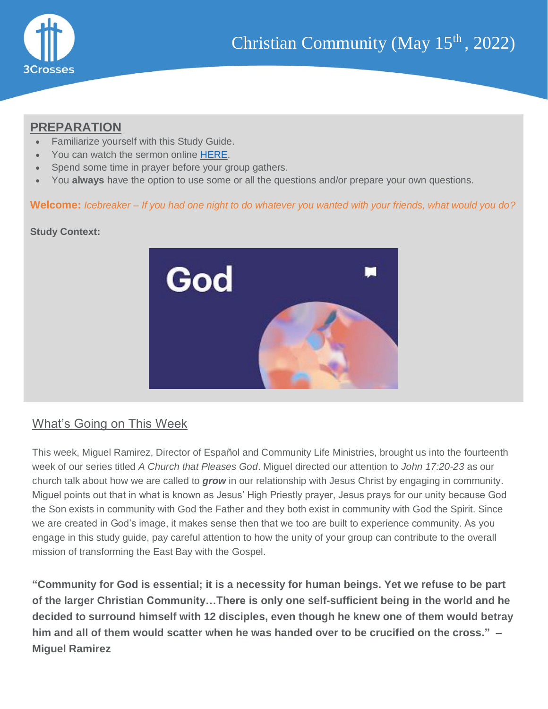

#### **PREPARATION**

- Familiarize yourself with this Study Guide.
- You can watch the sermon online [HERE.](http://3crosses.org/about-us/sermons/)
- Spend some time in prayer before your group gathers.
- You **always** have the option to use some or all the questions and/or prepare your own questions.

**Welcome:** *Icebreaker – If you had one night to do whatever you wanted with your friends, what would you do?*

#### **Study Context:**



# What's Going on This Week

This week, Miguel Ramirez, Director of Español and Community Life Ministries, brought us into the fourteenth week of our series titled *A Church that Pleases God*. Miguel directed our attention to *John 17:20-23* as our church talk about how we are called to *grow* in our relationship with Jesus Christ by engaging in community. Miguel points out that in what is known as Jesus' High Priestly prayer, Jesus prays for our unity because God the Son exists in community with God the Father and they both exist in community with God the Spirit. Since we are created in God's image, it makes sense then that we too are built to experience community. As you engage in this study guide, pay careful attention to how the unity of your group can contribute to the overall mission of transforming the East Bay with the Gospel.

**"Community for God is essential; it is a necessity for human beings. Yet we refuse to be part of the larger Christian Community…There is only one self-sufficient being in the world and he decided to surround himself with 12 disciples, even though he knew one of them would betray him and all of them would scatter when he was handed over to be crucified on the cross." – Miguel Ramirez**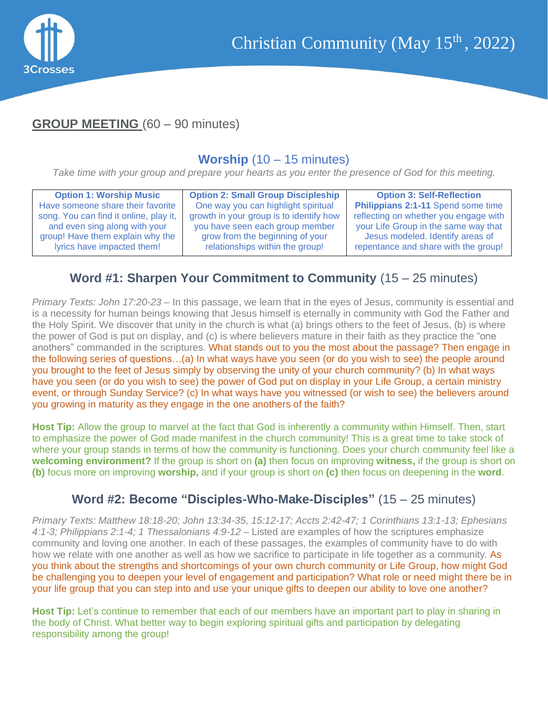

# **GROUP MEETING** (60 – 90 minutes)

### **Worship** (10 – 15 minutes)

Take time with your group and prepare your hearts as you enter the presence of God for this meeting.

| <b>Option 1: Worship Music</b>         | <b>Option 2: Small Group Discipleship</b> | <b>Option 3: Self-Reflection</b>      |
|----------------------------------------|-------------------------------------------|---------------------------------------|
| Have someone share their favorite      | One way you can highlight spiritual       | Philippians 2:1-11 Spend some time    |
| song. You can find it online, play it, | growth in your group is to identify how   | reflecting on whether you engage with |
| and even sing along with your          | you have seen each group member           | your Life Group in the same way that  |
| group! Have them explain why the       | grow from the beginning of your           | Jesus modeled. Identify areas of      |
| lyrics have impacted them!             | relationships within the group!           | repentance and share with the group!  |
|                                        |                                           |                                       |

## **Word #1: Sharpen Your Commitment to Community** (15 – 25 minutes)

*Primary Texts: John 17:20-23* – In this passage, we learn that in the eyes of Jesus, community is essential and is a necessity for human beings knowing that Jesus himself is eternally in community with God the Father and the Holy Spirit. We discover that unity in the church is what (a) brings others to the feet of Jesus, (b) is where the power of God is put on display, and (c) is where believers mature in their faith as they practice the "one anothers" commanded in the scriptures. What stands out to you the most about the passage? Then engage in the following series of questions…(a) In what ways have you seen (or do you wish to see) the people around you brought to the feet of Jesus simply by observing the unity of your church community? (b) In what ways have you seen (or do you wish to see) the power of God put on display in your Life Group, a certain ministry event, or through Sunday Service? (c) In what ways have you witnessed (or wish to see) the believers around you growing in maturity as they engage in the one anothers of the faith?

**Host Tip:** Allow the group to marvel at the fact that God is inherently a community within Himself. Then, start to emphasize the power of God made manifest in the church community! This is a great time to take stock of where your group stands in terms of how the community is functioning. Does your church community feel like a **welcoming environment?** If the group is short on **(a)** then focus on improving **witness,** if the group is short on **(b)** focus more on improving **worship,** and if your group is short on **(c)** then focus on deepening in the **word**.

### **Word #2: Become "Disciples-Who-Make-Disciples"** (15 – 25 minutes)

*Primary Texts: Matthew 18:18-20; John 13:34-35, 15:12-17; Accts 2:42-47; 1 Corinthians 13:1-13; Ephesians 4:1-3; Philippians 2:1-4; 1 Thessalonians 4:9-12* – Listed are examples of how the scriptures emphasize community and loving one another. In each of these passages, the examples of community have to do with how we relate with one another as well as how we sacrifice to participate in life together as a community*.* As you think about the strengths and shortcomings of your own church community or Life Group, how might God be challenging you to deepen your level of engagement and participation? What role or need might there be in your life group that you can step into and use your unique gifts to deepen our ability to love one another?

**Host Tip:** Let's continue to remember that each of our members have an important part to play in sharing in the body of Christ. What better way to begin exploring spiritual gifts and participation by delegating responsibility among the group!